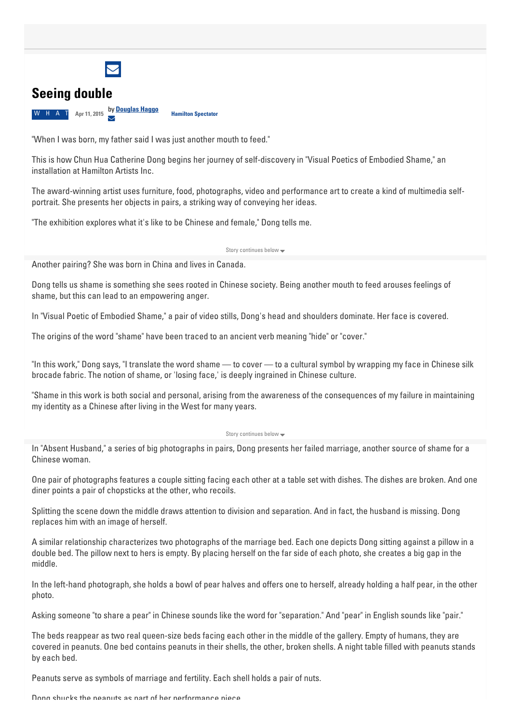

## **Seeing double**

**W** H A T Apr 11, 2015 **by [Douglas](https://www.thespec.com/hamilton-author/douglas-haggo/5DC1F3C3-5BC2-4A61-9405-E1065A2129B4/) Haggo**  $\searrow$ **Hamilton Spectator**

"When I was born, my father said I was just another mouth to feed."

This is how Chun Hua Catherine Dong begins her journey of self-discovery in "Visual Poetics of Embodied Shame," an installation at Hamilton Artists Inc.

The award-winning artist uses furniture, food, photographs, video and performance art to create a kind of multimedia selfportrait. She presents her objects in pairs, a striking way of conveying her ideas.

"The exhibition explores what it's like to be Chinese and female," Dong tells me.

Story continues below -

Another pairing? She was born in China and lives in Canada.

Dong tells us shame is something she sees rooted in Chinese society. Being another mouth to feed arouses feelings of shame, but this can lead to an empowering anger.

In "Visual Poetic of Embodied Shame," a pair of video stills, Dong's head and shoulders dominate. Her face is covered.

The origins of the word "shame" have been traced to an ancient verb meaning "hide" or "cover."

"In this work," Dong says, "I translate the word shame — to cover — to a cultural symbol by wrapping my face in Chinese silk brocade fabric. The notion of shame, or 'losing face,' is deeply ingrained in Chinese culture.

"Shame in this work is both social and personal, arising from the awareness of the consequences of my failure in maintaining my identity as a Chinese after living in the West for many years.

## Story continues below

In "Absent Husband," a series of big photographs in pairs, Dong presents her failed marriage, another source of shame for a Chinese woman.

One pair of photographs features a couple sitting facing each other at a table set with dishes. The dishes are broken. And one diner points a pair of chopsticks at the other, who recoils.

Splitting the scene down the middle draws attention to division and separation. And in fact, the husband is missing. Dong replaces him with an image of herself.

A similar relationship characterizes two photographs of the marriage bed. Each one depicts Dong sitting against a pillow in a double bed. The pillow next to hers is empty. By placing herself on the far side of each photo, she creates a big gap in the middle.

In the left-hand photograph, she holds a bowl of pear halves and offers one to herself, already holding a half pear, in the other photo.

Asking someone "to share a pear" in Chinese sounds like the word for "separation." And "pear" in English sounds like "pair."

The beds reappear as two real queen-size beds facing each other in the middle of the gallery. Empty of humans, they are covered in peanuts. One bed contains peanuts in their shells, the other, broken shells. A night table filled with peanuts stands by each bed.

Peanuts serve as symbols of marriage and fertility. Each shell holds a pair of nuts.